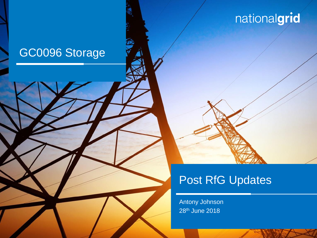## GC0096 Storage



Antony Johnson 28th June 2018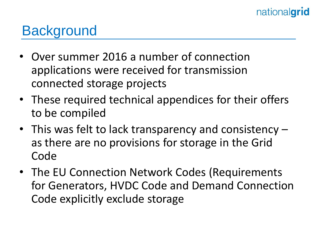# **Background**

- Over summer 2016 a number of connection applications were received for transmission connected storage projects
- These required technical appendices for their offers to be compiled
- This was felt to lack transparency and consistency as there are no provisions for storage in the Grid Code
- The EU Connection Network Codes (Requirements for Generators, HVDC Code and Demand Connection Code explicitly exclude storage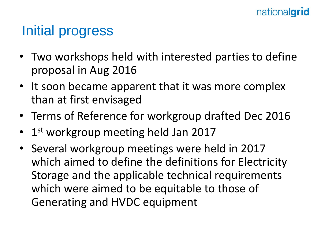# Initial progress

- Two workshops held with interested parties to define proposal in Aug 2016
- It soon became apparent that it was more complex than at first envisaged
- Terms of Reference for workgroup drafted Dec 2016
- 1<sup>st</sup> workgroup meeting held Jan 2017
- Several workgroup meetings were held in 2017 which aimed to define the definitions for Electricity Storage and the applicable technical requirements which were aimed to be equitable to those of Generating and HVDC equipment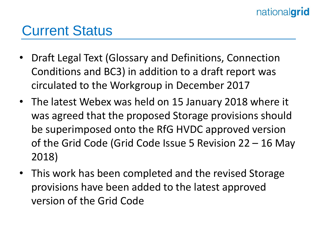### Current Status

- Draft Legal Text (Glossary and Definitions, Connection Conditions and BC3) in addition to a draft report was circulated to the Workgroup in December 2017
- The latest Webex was held on 15 January 2018 where it was agreed that the proposed Storage provisions should be superimposed onto the RfG HVDC approved version of the Grid Code (Grid Code Issue 5 Revision 22 – 16 May 2018)
- This work has been completed and the revised Storage provisions have been added to the latest approved version of the Grid Code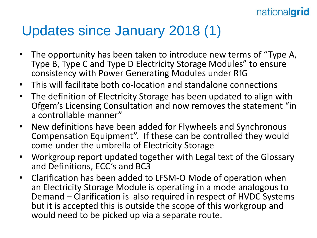## Updates since January 2018 (1)

- The opportunity has been taken to introduce new terms of "Type A, Type B, Type C and Type D Electricity Storage Modules" to ensure consistency with Power Generating Modules under RfG
- This will facilitate both co-location and standalone connections
- The definition of Electricity Storage has been updated to align with Ofgem's Licensing Consultation and now removes the statement "in a controllable manner"
- New definitions have been added for Flywheels and Synchronous Compensation Equipment". If these can be controlled they would come under the umbrella of Electricity Storage
- Workgroup report updated together with Legal text of the Glossary and Definitions, ECC's and BC3
- Clarification has been added to LFSM-O Mode of operation when an Electricity Storage Module is operating in a mode analogous to Demand – Clarification is also required in respect of HVDC Systems but it is accepted this is outside the scope of this workgroup and would need to be picked up via a separate route.